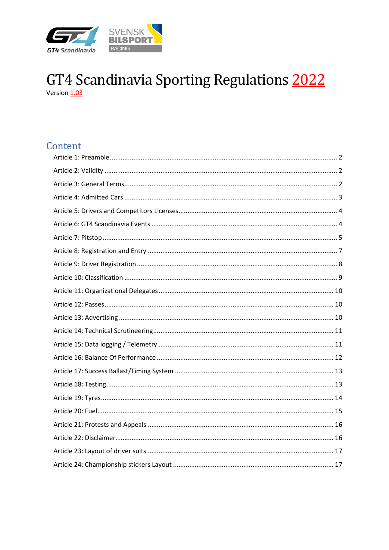

# GT4 Scandinavia Sporting Regulations 2022

# Content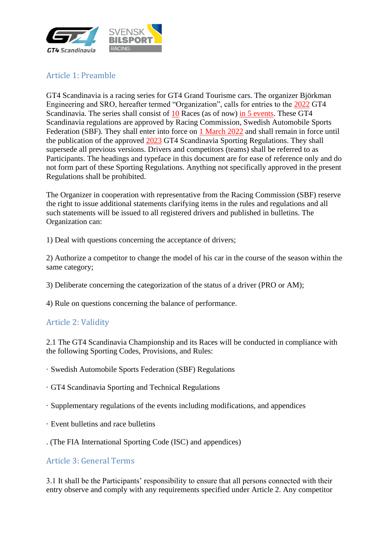

# <span id="page-1-0"></span>Article 1: Preamble

GT4 Scandinavia is a racing series for GT4 Grand Tourisme cars. The organizer Björkman Engineering and SRO, hereafter termed "Organization", calls for entries to the 2022 GT4 Scandinavia. The series shall consist of 10 Races (as of now) in 5 events. These GT4 Scandinavia regulations are approved by Racing Commission, Swedish Automobile Sports Federation (SBF). They shall enter into force on 1 March 2022 and shall remain in force until the publication of the approved 2023 GT4 Scandinavia Sporting Regulations. They shall supersede all previous versions. Drivers and competitors (teams) shall be referred to as Participants. The headings and typeface in this document are for ease of reference only and do not form part of these Sporting Regulations. Anything not specifically approved in the present Regulations shall be prohibited.

The Organizer in cooperation with representative from the Racing Commission (SBF) reserve the right to issue additional statements clarifying items in the rules and regulations and all such statements will be issued to all registered drivers and published in bulletins. The Organization can:

1) Deal with questions concerning the acceptance of drivers;

2) Authorize a competitor to change the model of his car in the course of the season within the same category;

3) Deliberate concerning the categorization of the status of a driver (PRO or AM);

4) Rule on questions concerning the balance of performance.

#### <span id="page-1-1"></span>Article 2: Validity

2.1 The GT4 Scandinavia Championship and its Races will be conducted in compliance with the following Sporting Codes, Provisions, and Rules:

- · Swedish Automobile Sports Federation (SBF) Regulations
- · GT4 Scandinavia Sporting and Technical Regulations
- · Supplementary regulations of the events including modifications, and appendices
- · Event bulletins and race bulletins
- . (The FIA International Sporting Code (ISC) and appendices)

#### <span id="page-1-2"></span>Article 3: General Terms

3.1 It shall be the Participants' responsibility to ensure that all persons connected with their entry observe and comply with any requirements specified under Article 2. Any competitor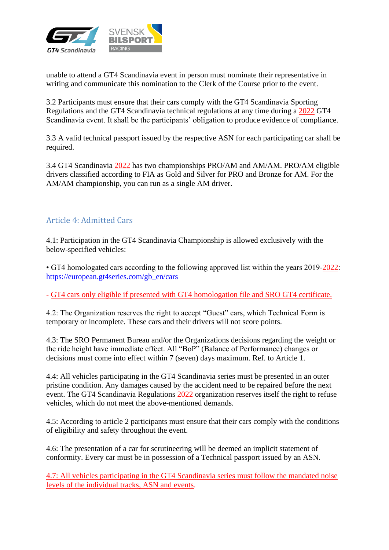

unable to attend a GT4 Scandinavia event in person must nominate their representative in writing and communicate this nomination to the Clerk of the Course prior to the event.

3.2 Participants must ensure that their cars comply with the GT4 Scandinavia Sporting Regulations and the GT4 Scandinavia technical regulations at any time during a 2022 GT4 Scandinavia event. It shall be the participants' obligation to produce evidence of compliance.

3.3 A valid technical passport issued by the respective ASN for each participating car shall be required.

3.4 GT4 Scandinavia 2022 has two championships PRO/AM and AM/AM. PRO/AM eligible drivers classified according to FIA as Gold and Silver for PRO and Bronze for AM. For the AM/AM championship, you can run as a single AM driver.

#### <span id="page-2-0"></span>Article 4: Admitted Cars

4.1: Participation in the GT4 Scandinavia Championship is allowed exclusively with the below-specified vehicles:

• GT4 homologated cars according to the following approved list within the years 2019-2022: [https://european.gt4series.com/gb\\_en/cars](https://european.gt4series.com/gb_en/cars)

- GT4 cars only eligible if presented with GT4 homologation file and SRO GT4 certificate.

4.2: The Organization reserves the right to accept "Guest" cars, which Technical Form is temporary or incomplete. These cars and their drivers will not score points.

4.3: The SRO Permanent Bureau and/or the Organizations decisions regarding the weight or the ride height have immediate effect. All "BoP" (Balance of Performance) changes or decisions must come into effect within 7 (seven) days maximum. Ref. to Article 1.

4.4: All vehicles participating in the GT4 Scandinavia series must be presented in an outer pristine condition. Any damages caused by the accident need to be repaired before the next event. The GT4 Scandinavia Regulations 2022 organization reserves itself the right to refuse vehicles, which do not meet the above-mentioned demands.

4.5: According to article 2 participants must ensure that their cars comply with the conditions of eligibility and safety throughout the event.

4.6: The presentation of a car for scrutineering will be deemed an implicit statement of conformity. Every car must be in possession of a Technical passport issued by an ASN.

4.7: All vehicles participating in the GT4 Scandinavia series must follow the mandated noise levels of the individual tracks, ASN and events.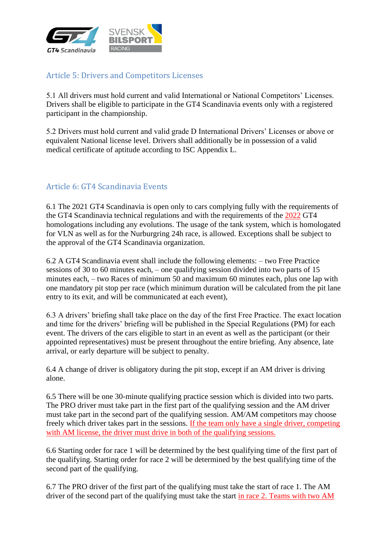

# <span id="page-3-0"></span>Article 5: Drivers and Competitors Licenses

5.1 All drivers must hold current and valid International or National Competitors' Licenses. Drivers shall be eligible to participate in the GT4 Scandinavia events only with a registered participant in the championship.

5.2 Drivers must hold current and valid grade D International Drivers' Licenses or above or equivalent National license level. Drivers shall additionally be in possession of a valid medical certificate of aptitude according to ISC Appendix L.

## <span id="page-3-1"></span>Article 6: GT4 Scandinavia Events

6.1 The 2021 GT4 Scandinavia is open only to cars complying fully with the requirements of the GT4 Scandinavia technical regulations and with the requirements of the 2022 GT4 homologations including any evolutions. The usage of the tank system, which is homologated for VLN as well as for the Nurburgring 24h race, is allowed. Exceptions shall be subject to the approval of the GT4 Scandinavia organization.

6.2 A GT4 Scandinavia event shall include the following elements: – two Free Practice sessions of 30 to 60 minutes each, – one qualifying session divided into two parts of 15 minutes each, – two Races of minimum 50 and maximum 60 minutes each, plus one lap with one mandatory pit stop per race (which minimum duration will be calculated from the pit lane entry to its exit, and will be communicated at each event),

6.3 A drivers' briefing shall take place on the day of the first Free Practice. The exact location and time for the drivers' briefing will be published in the Special Regulations (PM) for each event. The drivers of the cars eligible to start in an event as well as the participant (or their appointed representatives) must be present throughout the entire briefing. Any absence, late arrival, or early departure will be subject to penalty.

6.4 A change of driver is obligatory during the pit stop, except if an AM driver is driving alone.

6.5 There will be one 30-minute qualifying practice session which is divided into two parts. The PRO driver must take part in the first part of the qualifying session and the AM driver must take part in the second part of the qualifying session. AM/AM competitors may choose freely which driver takes part in the sessions. If the team only have a single driver, competing with AM license, the driver must drive in both of the qualifying sessions.

6.6 Starting order for race 1 will be determined by the best qualifying time of the first part of the qualifying. Starting order for race 2 will be determined by the best qualifying time of the second part of the qualifying.

6.7 The PRO driver of the first part of the qualifying must take the start of race 1. The AM driver of the second part of the qualifying must take the start in race 2. Teams with two AM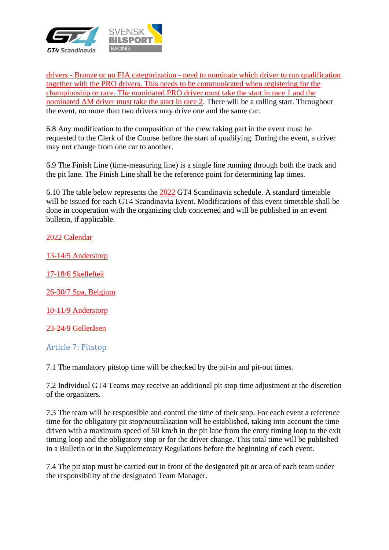

drivers - Bronze or no FIA categorization - need to nominate which driver to run qualification together with the PRO drivers. This needs to be communicated when registering for the championship or race. The nominated PRO driver must take the start in race 1 and the nominated AM driver must take the start in race 2. There will be a rolling start. Throughout the event, no more than two drivers may drive one and the same car.

6.8 Any modification to the composition of the crew taking part in the event must be requested to the Clerk of the Course before the start of qualifying. During the event, a driver may not change from one car to another.

6.9 The Finish Line (time-measuring line) is a single line running through both the track and the pit lane. The Finish Line shall be the reference point for determining lap times.

6.10 The table below represents the 2022 GT4 Scandinavia schedule. A standard timetable will be issued for each GT4 Scandinavia Event. Modifications of this event timetable shall be done in cooperation with the organizing club concerned and will be published in an event bulletin, if applicable.

2022 Calendar

13-14/5 Anderstorp

17-18/6 Skellefteå

26-30/7 Spa, Belgium

10-11/9 Anderstorp

23-24/9 Gelleråsen

<span id="page-4-0"></span>Article 7: Pitstop

7.1 The mandatory pitstop time will be checked by the pit-in and pit-out times.

7.2 Individual GT4 Teams may receive an additional pit stop time adjustment at the discretion of the organizers.

7.3 The team will be responsible and control the time of their stop. For each event a reference time for the obligatory pit stop/neutralization will be established, taking into account the time driven with a maximum speed of 50 km/h in the pit lane from the entry timing loop to the exit timing loop and the obligatory stop or for the driver change. This total time will be published in a Bulletin or in the Supplementary Regulations before the beginning of each event.

7.4 The pit stop must be carried out in front of the designated pit or area of each team under the responsibility of the designated Team Manager.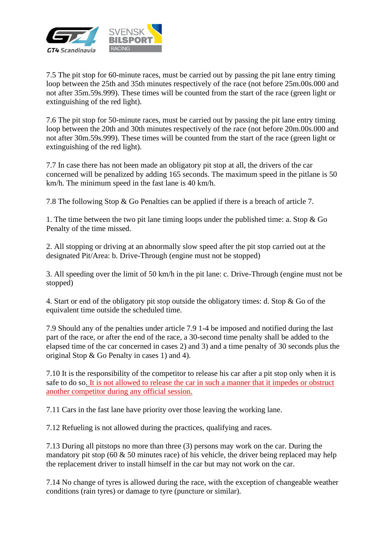

7.5 The pit stop for 60-minute races, must be carried out by passing the pit lane entry timing loop between the 25th and 35th minutes respectively of the race (not before 25m.00s.000 and not after 35m.59s.999). These times will be counted from the start of the race (green light or extinguishing of the red light).

7.6 The pit stop for 50-minute races, must be carried out by passing the pit lane entry timing loop between the 20th and 30th minutes respectively of the race (not before 20m.00s.000 and not after 30m.59s.999). These times will be counted from the start of the race (green light or extinguishing of the red light).

7.7 In case there has not been made an obligatory pit stop at all, the drivers of the car concerned will be penalized by adding 165 seconds. The maximum speed in the pitlane is 50 km/h. The minimum speed in the fast lane is 40 km/h.

7.8 The following Stop & Go Penalties can be applied if there is a breach of article 7.

1. The time between the two pit lane timing loops under the published time: a. Stop & Go Penalty of the time missed.

2. All stopping or driving at an abnormally slow speed after the pit stop carried out at the designated Pit/Area: b. Drive-Through (engine must not be stopped)

3. All speeding over the limit of 50 km/h in the pit lane: c. Drive-Through (engine must not be stopped)

4. Start or end of the obligatory pit stop outside the obligatory times: d. Stop & Go of the equivalent time outside the scheduled time.

7.9 Should any of the penalties under article 7.9 1-4 be imposed and notified during the last part of the race, or after the end of the race, a 30-second time penalty shall be added to the elapsed time of the car concerned in cases 2) and 3) and a time penalty of 30 seconds plus the original Stop & Go Penalty in cases 1) and 4).

7.10 It is the responsibility of the competitor to release his car after a pit stop only when it is safe to do so. It is not allowed to release the car in such a manner that it impedes or obstruct another competitor during any official session.

7.11 Cars in the fast lane have priority over those leaving the working lane.

7.12 Refueling is not allowed during the practices, qualifying and races.

7.13 During all pitstops no more than three (3) persons may work on the car. During the mandatory pit stop (60  $\&$  50 minutes race) of his vehicle, the driver being replaced may help the replacement driver to install himself in the car but may not work on the car.

7.14 No change of tyres is allowed during the race, with the exception of changeable weather conditions (rain tyres) or damage to tyre (puncture or similar).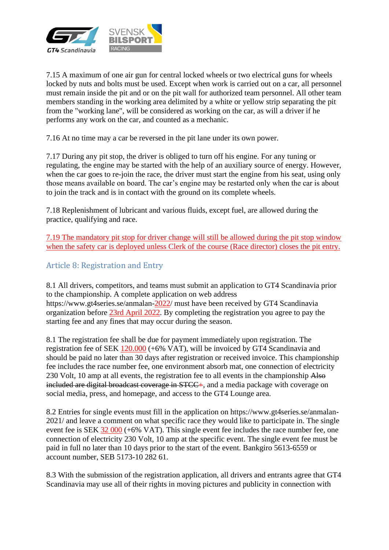

7.15 A maximum of one air gun for central locked wheels or two electrical guns for wheels locked by nuts and bolts must be used. Except when work is carried out on a car, all personnel must remain inside the pit and or on the pit wall for authorized team personnel. All other team members standing in the working area delimited by a white or yellow strip separating the pit from the "working lane", will be considered as working on the car, as will a driver if he performs any work on the car, and counted as a mechanic.

7.16 At no time may a car be reversed in the pit lane under its own power.

7.17 During any pit stop, the driver is obliged to turn off his engine. For any tuning or regulating, the engine may be started with the help of an auxiliary source of energy. However, when the car goes to re-join the race, the driver must start the engine from his seat, using only those means available on board. The car's engine may be restarted only when the car is about to join the track and is in contact with the ground on its complete wheels.

7.18 Replenishment of lubricant and various fluids, except fuel, are allowed during the practice, qualifying and race.

7.19 The mandatory pit stop for driver change will still be allowed during the pit stop window when the safety car is deployed unless Clerk of the course (Race director) closes the pit entry.

## <span id="page-6-0"></span>Article 8: Registration and Entry

8.1 All drivers, competitors, and teams must submit an application to GT4 Scandinavia prior to the championship. A complete application on web address https://www.gt4series.se/anmalan-2022/ must have been received by GT4 Scandinavia organization before 23rd April 2022. By completing the registration you agree to pay the starting fee and any fines that may occur during the season.

8.1 The registration fee shall be due for payment immediately upon registration. The registration fee of SEK 120.000 (+6% VAT), will be invoiced by GT4 Scandinavia and should be paid no later than 30 days after registration or received invoice. This championship fee includes the race number fee, one environment absorb mat, one connection of electricity 230 Volt, 10 amp at all events, the registration fee to all events in the championship Also included are digital broadcast coverage in STCC+, and a media package with coverage on social media, press, and homepage, and access to the GT4 Lounge area.

8.2 Entries for single events must fill in the application on https://www.gt4series.se/anmalan-2021/ and leave a comment on what specific race they would like to participate in. The single event fee is SEK 32 000 (+6% VAT). This single event fee includes the race number fee, one connection of electricity 230 Volt, 10 amp at the specific event. The single event fee must be paid in full no later than 10 days prior to the start of the event. Bankgiro 5613-6559 or account number, SEB 5173-10 282 61.

8.3 With the submission of the registration application, all drivers and entrants agree that GT4 Scandinavia may use all of their rights in moving pictures and publicity in connection with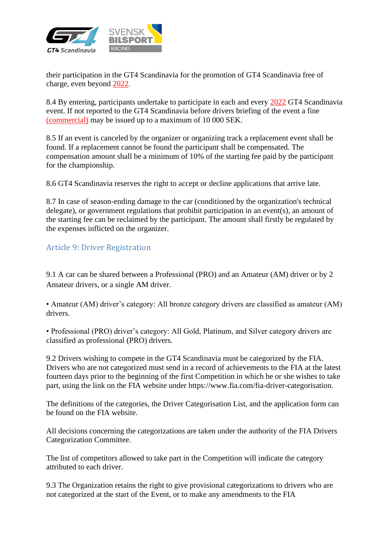

their participation in the GT4 Scandinavia for the promotion of GT4 Scandinavia free of charge, even beyond 2022.

8.4 By entering, participants undertake to participate in each and every 2022 GT4 Scandinavia event. If not reported to the GT4 Scandinavia before drivers briefing of the event a fine (commercial) may be issued up to a maximum of 10 000 SEK.

8.5 If an event is canceled by the organizer or organizing track a replacement event shall be found. If a replacement cannot be found the participant shall be compensated. The compensation amount shall be a minimum of 10% of the starting fee paid by the participant for the championship.

8.6 GT4 Scandinavia reserves the right to accept or decline applications that arrive late.

8.7 In case of season-ending damage to the car (conditioned by the organization's technical delegate), or government regulations that prohibit participation in an event(s), an amount of the starting fee can be reclaimed by the participant. The amount shall firstly be regulated by the expenses inflicted on the organizer.

#### <span id="page-7-0"></span>Article 9: Driver Registration

9.1 A car can be shared between a Professional (PRO) and an Amateur (AM) driver or by 2 Amateur drivers, or a single AM driver.

• Amateur (AM) driver's category: All bronze category drivers are classified as amateur (AM) drivers.

• Professional (PRO) driver's category: All Gold, Platinum, and Silver category drivers are classified as professional (PRO) drivers.

9.2 Drivers wishing to compete in the GT4 Scandinavia must be categorized by the FIA. Drivers who are not categorized must send in a record of achievements to the FIA at the latest fourteen days prior to the beginning of the first Competition in which he or she wishes to take part, using the link on the FIA website under https://www.fia.com/fia-driver-categorisation.

The definitions of the categories, the Driver Categorisation List, and the application form can be found on the FIA website.

All decisions concerning the categorizations are taken under the authority of the FIA Drivers Categorization Committee.

The list of competitors allowed to take part in the Competition will indicate the category attributed to each driver.

9.3 The Organization retains the right to give provisional categorizations to drivers who are not categorized at the start of the Event, or to make any amendments to the FIA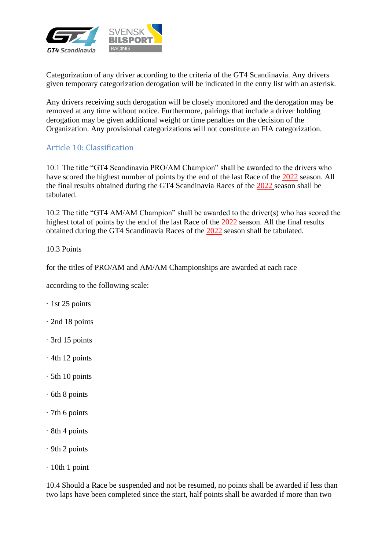

Categorization of any driver according to the criteria of the GT4 Scandinavia. Any drivers given temporary categorization derogation will be indicated in the entry list with an asterisk.

Any drivers receiving such derogation will be closely monitored and the derogation may be removed at any time without notice. Furthermore, pairings that include a driver holding derogation may be given additional weight or time penalties on the decision of the Organization. Any provisional categorizations will not constitute an FIA categorization.

#### <span id="page-8-0"></span>Article 10: Classification

10.1 The title "GT4 Scandinavia PRO/AM Champion" shall be awarded to the drivers who have scored the highest number of points by the end of the last Race of the 2022 season. All the final results obtained during the GT4 Scandinavia Races of the 2022 season shall be tabulated.

10.2 The title "GT4 AM/AM Champion" shall be awarded to the driver(s) who has scored the highest total of points by the end of the last Race of the 2022 season. All the final results obtained during the GT4 Scandinavia Races of the 2022 season shall be tabulated.

10.3 Points

for the titles of PRO/AM and AM/AM Championships are awarded at each race

according to the following scale:

- · 1st 25 points
- · 2nd 18 points
- · 3rd 15 points
- · 4th 12 points
- · 5th 10 points
- · 6th 8 points
- · 7th 6 points
- · 8th 4 points
- · 9th 2 points
- · 10th 1 point

10.4 Should a Race be suspended and not be resumed, no points shall be awarded if less than two laps have been completed since the start, half points shall be awarded if more than two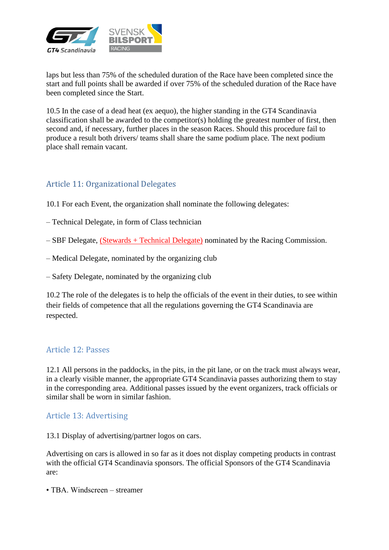

laps but less than 75% of the scheduled duration of the Race have been completed since the start and full points shall be awarded if over 75% of the scheduled duration of the Race have been completed since the Start.

10.5 In the case of a dead heat (ex aequo), the higher standing in the GT4 Scandinavia classification shall be awarded to the competitor(s) holding the greatest number of first, then second and, if necessary, further places in the season Races. Should this procedure fail to produce a result both drivers/ teams shall share the same podium place. The next podium place shall remain vacant.

## <span id="page-9-0"></span>Article 11: Organizational Delegates

10.1 For each Event, the organization shall nominate the following delegates:

- Technical Delegate, in form of Class technician
- SBF Delegate, (Stewards + Technical Delegate) nominated by the Racing Commission.
- Medical Delegate, nominated by the organizing club
- Safety Delegate, nominated by the organizing club

10.2 The role of the delegates is to help the officials of the event in their duties, to see within their fields of competence that all the regulations governing the GT4 Scandinavia are respected.

#### <span id="page-9-1"></span>Article 12: Passes

12.1 All persons in the paddocks, in the pits, in the pit lane, or on the track must always wear, in a clearly visible manner, the appropriate GT4 Scandinavia passes authorizing them to stay in the corresponding area. Additional passes issued by the event organizers, track officials or similar shall be worn in similar fashion.

#### <span id="page-9-2"></span>Article 13: Advertising

13.1 Display of advertising/partner logos on cars.

Advertising on cars is allowed in so far as it does not display competing products in contrast with the official GT4 Scandinavia sponsors. The official Sponsors of the GT4 Scandinavia are:

• TBA. Windscreen – streamer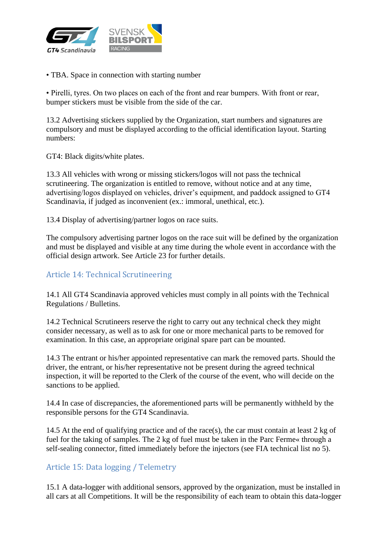

• TBA. Space in connection with starting number

• Pirelli, tyres. On two places on each of the front and rear bumpers. With front or rear, bumper stickers must be visible from the side of the car.

13.2 Advertising stickers supplied by the Organization, start numbers and signatures are compulsory and must be displayed according to the official identification layout. Starting numbers:

GT4: Black digits/white plates.

13.3 All vehicles with wrong or missing stickers/logos will not pass the technical scrutineering. The organization is entitled to remove, without notice and at any time, advertising/logos displayed on vehicles, driver's equipment, and paddock assigned to GT4 Scandinavia, if judged as inconvenient (ex.: immoral, unethical, etc.).

13.4 Display of advertising/partner logos on race suits.

The compulsory advertising partner logos on the race suit will be defined by the organization and must be displayed and visible at any time during the whole event in accordance with the official design artwork. See Article 23 for further details.

#### <span id="page-10-0"></span>Article 14: Technical Scrutineering

14.1 All GT4 Scandinavia approved vehicles must comply in all points with the Technical Regulations / Bulletins.

14.2 Technical Scrutineers reserve the right to carry out any technical check they might consider necessary, as well as to ask for one or more mechanical parts to be removed for examination. In this case, an appropriate original spare part can be mounted.

14.3 The entrant or his/her appointed representative can mark the removed parts. Should the driver, the entrant, or his/her representative not be present during the agreed technical inspection, it will be reported to the Clerk of the course of the event, who will decide on the sanctions to be applied.

14.4 In case of discrepancies, the aforementioned parts will be permanently withheld by the responsible persons for the GT4 Scandinavia.

14.5 At the end of qualifying practice and of the race(s), the car must contain at least 2 kg of fuel for the taking of samples. The 2 kg of fuel must be taken in the Parc Ferme« through a self-sealing connector, fitted immediately before the injectors (see FIA technical list no 5).

#### <span id="page-10-1"></span>Article 15: Data logging / Telemetry

15.1 A data-logger with additional sensors, approved by the organization, must be installed in all cars at all Competitions. It will be the responsibility of each team to obtain this data-logger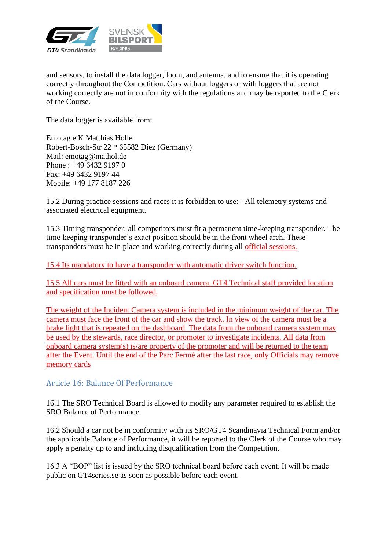

and sensors, to install the data logger, loom, and antenna, and to ensure that it is operating correctly throughout the Competition. Cars without loggers or with loggers that are not working correctly are not in conformity with the regulations and may be reported to the Clerk of the Course.

The data logger is available from:

Emotag e.K Matthias Holle Robert-Bosch-Str 22 \* 65582 Diez (Germany) Mail: emotag@mathol.de Phone : +49 6432 9197 0 Fax: +49 6432 9197 44 Mobile: +49 177 8187 226

15.2 During practice sessions and races it is forbidden to use: - All telemetry systems and associated electrical equipment.

15.3 Timing transponder; all competitors must fit a permanent time-keeping transponder. The time-keeping transponder's exact position should be in the front wheel arch. These transponders must be in place and working correctly during all official sessions.

15.4 Its mandatory to have a transponder with automatic driver switch function.

15.5 All cars must be fitted with an onboard camera, GT4 Technical staff provided location and specification must be followed.

The weight of the Incident Camera system is included in the minimum weight of the car. The camera must face the front of the car and show the track. In view of the camera must be a brake light that is repeated on the dashboard. The data from the onboard camera system may be used by the stewards, race director, or promoter to investigate incidents. All data from onboard camera system(s) is/are property of the promoter and will be returned to the team after the Event. Until the end of the Parc Fermé after the last race, only Officials may remove memory cards

#### <span id="page-11-0"></span>Article 16: Balance Of Performance

16.1 The SRO Technical Board is allowed to modify any parameter required to establish the SRO Balance of Performance.

16.2 Should a car not be in conformity with its SRO/GT4 Scandinavia Technical Form and/or the applicable Balance of Performance, it will be reported to the Clerk of the Course who may apply a penalty up to and including disqualification from the Competition.

16.3 A "BOP" list is issued by the SRO technical board before each event. It will be made public on GT4series.se as soon as possible before each event.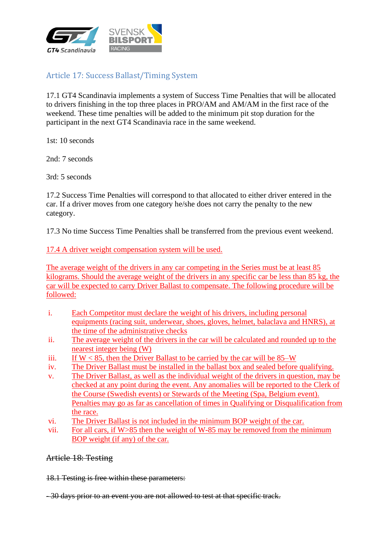

# <span id="page-12-0"></span>Article 17: Success Ballast/Timing System

17.1 GT4 Scandinavia implements a system of Success Time Penalties that will be allocated to drivers finishing in the top three places in PRO/AM and AM/AM in the first race of the weekend. These time penalties will be added to the minimum pit stop duration for the participant in the next GT4 Scandinavia race in the same weekend.

1st: 10 seconds

2nd: 7 seconds

3rd: 5 seconds

17.2 Success Time Penalties will correspond to that allocated to either driver entered in the car. If a driver moves from one category he/she does not carry the penalty to the new category.

17.3 No time Success Time Penalties shall be transferred from the previous event weekend.

17.4 A driver weight compensation system will be used.

The average weight of the drivers in any car competing in the Series must be at least 85 kilograms. Should the average weight of the drivers in any specific car be less than 85 kg, the car will be expected to carry Driver Ballast to compensate. The following procedure will be followed:

- i. Each Competitor must declare the weight of his drivers, including personal equipments (racing suit, underwear, shoes, gloves, helmet, balaclava and HNRS), at the time of the administrative checks
- ii. The average weight of the drivers in the car will be calculated and rounded up to the nearest integer being (W)
- iii. If  $W < 85$ , then the Driver Ballast to be carried by the car will be  $85-W$
- iv. The Driver Ballast must be installed in the ballast box and sealed before qualifying.
- v. The Driver Ballast, as well as the individual weight of the drivers in question, may be checked at any point during the event. Any anomalies will be reported to the Clerk of the Course (Swedish events) or Stewards of the Meeting (Spa, Belgium event). Penalties may go as far as cancellation of times in Qualifying or Disqualification from the race.
- vi. The Driver Ballast is not included in the minimum BOP weight of the car.
- vii. For all cars, if W>85 then the weight of W-85 may be removed from the minimum BOP weight (if any) of the car.

<span id="page-12-1"></span>Article 18: Testing

18.1 Testing is free within these parameters:

- 30 days prior to an event you are not allowed to test at that specific track.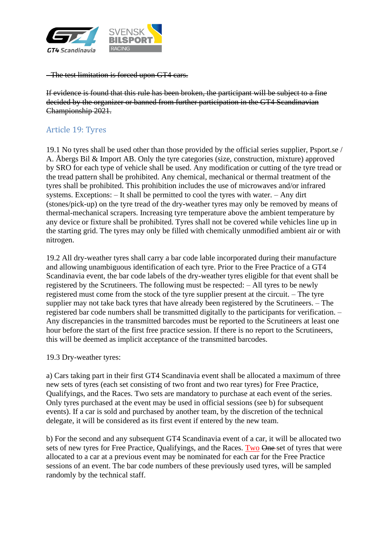

- The test limitation is forced upon GT4 cars.

If evidence is found that this rule has been broken, the participant will be subject to a fine decided by the organizer or banned from further participation in the GT4 Scandinavian Championship 2021.

## <span id="page-13-0"></span>Article 19: Tyres

19.1 No tyres shall be used other than those provided by the official series supplier, Psport.se / A. Åbergs Bil & Import AB. Only the tyre categories (size, construction, mixture) approved by SRO for each type of vehicle shall be used. Any modification or cutting of the tyre tread or the tread pattern shall be prohibited. Any chemical, mechanical or thermal treatment of the tyres shall be prohibited. This prohibition includes the use of microwaves and/or infrared systems. Exceptions: – It shall be permitted to cool the tyres with water. – Any dirt (stones/pick-up) on the tyre tread of the dry-weather tyres may only be removed by means of thermal-mechanical scrapers. Increasing tyre temperature above the ambient temperature by any device or fixture shall be prohibited. Tyres shall not be covered while vehicles line up in the starting grid. The tyres may only be filled with chemically unmodified ambient air or with nitrogen.

19.2 All dry-weather tyres shall carry a bar code lable incorporated during their manufacture and allowing unambiguous identification of each tyre. Prior to the Free Practice of a GT4 Scandinavia event, the bar code labels of the dry-weather tyres eligible for that event shall be registered by the Scrutineers. The following must be respected: – All tyres to be newly registered must come from the stock of the tyre supplier present at the circuit. – The tyre supplier may not take back tyres that have already been registered by the Scrutineers. – The registered bar code numbers shall be transmitted digitally to the participants for verification. – Any discrepancies in the transmitted barcodes must be reported to the Scrutineers at least one hour before the start of the first free practice session. If there is no report to the Scrutineers, this will be deemed as implicit acceptance of the transmitted barcodes.

#### 19.3 Dry-weather tyres:

a) Cars taking part in their first GT4 Scandinavia event shall be allocated a maximum of three new sets of tyres (each set consisting of two front and two rear tyres) for Free Practice, Qualifyings, and the Races. Two sets are mandatory to purchase at each event of the series. Only tyres purchased at the event may be used in official sessions (see b) for subsequent events). If a car is sold and purchased by another team, by the discretion of the technical delegate, it will be considered as its first event if entered by the new team.

b) For the second and any subsequent GT4 Scandinavia event of a car, it will be allocated two sets of new tyres for Free Practice, Qualifyings, and the Races. Two One-set of tyres that were allocated to a car at a previous event may be nominated for each car for the Free Practice sessions of an event. The bar code numbers of these previously used tyres, will be sampled randomly by the technical staff.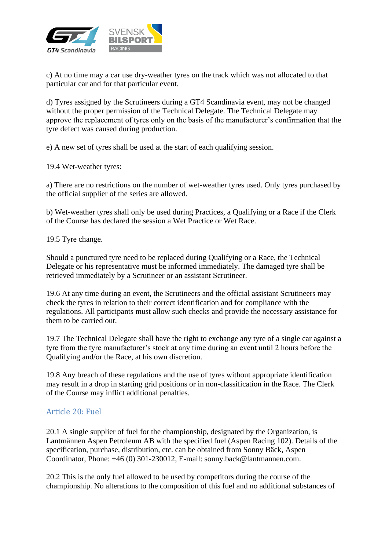

c) At no time may a car use dry-weather tyres on the track which was not allocated to that particular car and for that particular event.

d) Tyres assigned by the Scrutineers during a GT4 Scandinavia event, may not be changed without the proper permission of the Technical Delegate. The Technical Delegate may approve the replacement of tyres only on the basis of the manufacturer's confirmation that the tyre defect was caused during production.

e) A new set of tyres shall be used at the start of each qualifying session.

19.4 Wet-weather tyres:

a) There are no restrictions on the number of wet-weather tyres used. Only tyres purchased by the official supplier of the series are allowed.

b) Wet-weather tyres shall only be used during Practices, a Qualifying or a Race if the Clerk of the Course has declared the session a Wet Practice or Wet Race.

19.5 Tyre change.

Should a punctured tyre need to be replaced during Qualifying or a Race, the Technical Delegate or his representative must be informed immediately. The damaged tyre shall be retrieved immediately by a Scrutineer or an assistant Scrutineer.

19.6 At any time during an event, the Scrutineers and the official assistant Scrutineers may check the tyres in relation to their correct identification and for compliance with the regulations. All participants must allow such checks and provide the necessary assistance for them to be carried out.

19.7 The Technical Delegate shall have the right to exchange any tyre of a single car against a tyre from the tyre manufacturer's stock at any time during an event until 2 hours before the Qualifying and/or the Race, at his own discretion.

19.8 Any breach of these regulations and the use of tyres without appropriate identification may result in a drop in starting grid positions or in non-classification in the Race. The Clerk of the Course may inflict additional penalties.

#### <span id="page-14-0"></span>Article 20: Fuel

20.1 A single supplier of fuel for the championship, designated by the Organization, is Lantmännen Aspen Petroleum AB with the specified fuel (Aspen Racing 102). Details of the specification, purchase, distribution, etc. can be obtained from Sonny Bäck, Aspen Coordinator, Phone: +46 (0) 301-230012, E-mail: sonny.back@lantmannen.com.

20.2 This is the only fuel allowed to be used by competitors during the course of the championship. No alterations to the composition of this fuel and no additional substances of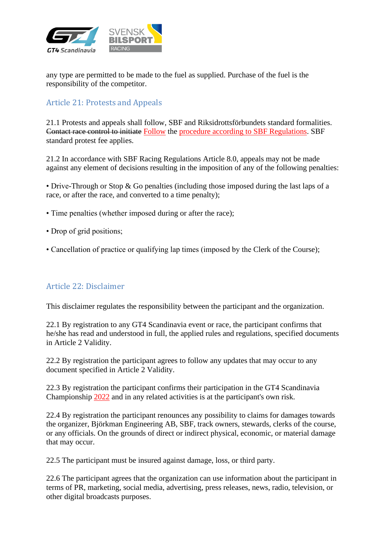

any type are permitted to be made to the fuel as supplied. Purchase of the fuel is the responsibility of the competitor.

#### <span id="page-15-0"></span>Article 21: Protests and Appeals

21.1 Protests and appeals shall follow, SBF and Riksidrottsförbundets standard formalities. Contact race control to initiate Follow the procedure according to SBF Regulations. SBF standard protest fee applies.

21.2 In accordance with SBF Racing Regulations Article 8.0, appeals may not be made against any element of decisions resulting in the imposition of any of the following penalties:

• Drive-Through or Stop & Go penalties (including those imposed during the last laps of a race, or after the race, and converted to a time penalty);

- Time penalties (whether imposed during or after the race);
- Drop of grid positions;
- Cancellation of practice or qualifying lap times (imposed by the Clerk of the Course);

#### <span id="page-15-1"></span>Article 22: Disclaimer

This disclaimer regulates the responsibility between the participant and the organization.

22.1 By registration to any GT4 Scandinavia event or race, the participant confirms that he/she has read and understood in full, the applied rules and regulations, specified documents in Article 2 Validity.

22.2 By registration the participant agrees to follow any updates that may occur to any document specified in Article 2 Validity.

22.3 By registration the participant confirms their participation in the GT4 Scandinavia Championship 2022 and in any related activities is at the participant's own risk.

22.4 By registration the participant renounces any possibility to claims for damages towards the organizer, Björkman Engineering AB, SBF, track owners, stewards, clerks of the course, or any officials. On the grounds of direct or indirect physical, economic, or material damage that may occur.

22.5 The participant must be insured against damage, loss, or third party.

22.6 The participant agrees that the organization can use information about the participant in terms of PR, marketing, social media, advertising, press releases, news, radio, television, or other digital broadcasts purposes.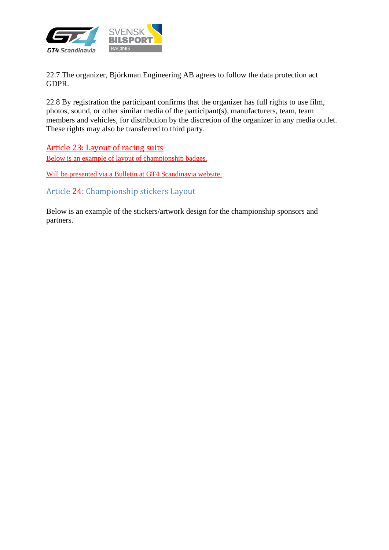

22.7 The organizer, Björkman Engineering AB agrees to follow the data protection act GDPR.

22.8 By registration the participant confirms that the organizer has full rights to use film, photos, sound, or other similar media of the participant(s), manufacturers, team, team members and vehicles, for distribution by the discretion of the organizer in any media outlet. These rights may also be transferred to third party.

<span id="page-16-0"></span>Article 23: Layout of racing suits Below is an example of layout of championship badges.

Will be presented via a Bulletin at GT4 Scandinavia website.

<span id="page-16-1"></span>Article 24: Championship stickers Layout

Below is an example of the stickers/artwork design for the championship sponsors and partners.